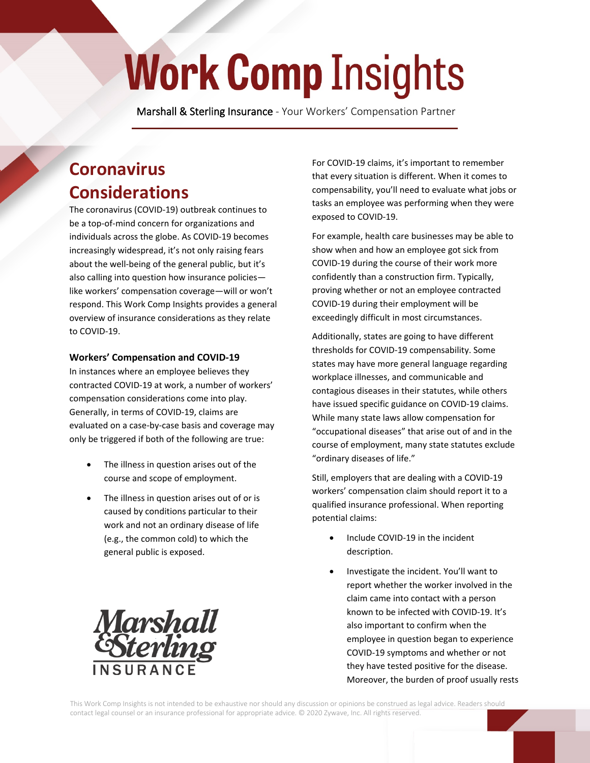## **Work Comp Insights**

 **Marshall & Sterling Insurance** - Your Workers' Compensation Partner

## **Coronavirus Considerations**

The coronavirus (COVID-19) outbreak continues to be a top-of-mind concern for organizations and individuals across the globe. As COVID-19 becomes increasingly widespread, it's not only raising fears about the well-being of the general public, but it's also calling into question how insurance policies like workers' compensation coverage—will or won't respond. This Work Comp Insights provides a general overview of insurance considerations as they relate to COVID-19.

## **Workers' Compensation and COVID-19**

In instances where an employee believes they contracted COVID-19 at work, a number of workers' compensation considerations come into play. Generally, in terms of COVID-19, claims are evaluated on a case-by-case basis and coverage may only be triggered if both of the following are true:

- The illness in question arises out of the course and scope of employment.
- The illness in question arises out of or is caused by conditions particular to their work and not an ordinary disease of life (e.g., the common cold) to which the general public is exposed.



For COVID-19 claims, it's important to remember that every situation is different. When it comes to compensability, you'll need to evaluate what jobs or tasks an employee was performing when they were exposed to COVID-19.

For example, health care businesses may be able to show when and how an employee got sick from COVID-19 during the course of their work more confidently than a construction firm. Typically, proving whether or not an employee contracted COVID-19 during their employment will be exceedingly difficult in most circumstances.

Additionally, states are going to have different thresholds for COVID-19 compensability. Some states may have more general language regarding workplace illnesses, and communicable and contagious diseases in their statutes, while others have issued specific guidance on COVID-19 claims. While many state laws allow compensation for "occupational diseases" that arise out of and in the course of employment, many state statutes exclude "ordinary diseases of life."

Still, employers that are dealing with a COVID-19 workers' compensation claim should report it to a qualified insurance professional. When reporting potential claims:

- Include COVID-19 in the incident description.
- Investigate the incident. You'll want to report whether the worker involved in the claim came into contact with a person known to be infected with COVID-19. It's also important to confirm when the employee in question began to experience COVID-19 symptoms and whether or not they have tested positive for the disease. Moreover, the burden of proof usually rests

This Work Comp Insights is not intended to be exhaustive nor should any discussion or opinions be construed as legal advice. Readers should contact legal counsel or an insurance professional for appropriate advice. © 2020 Zywave, Inc. All rights reserved.